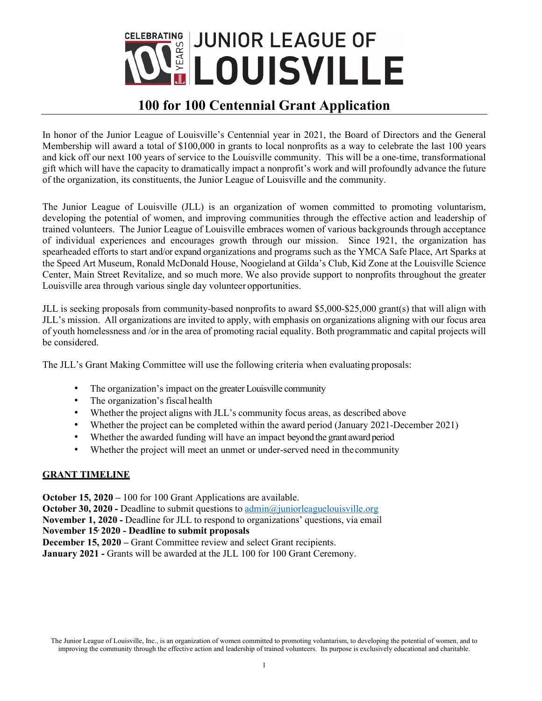

# **100 for 100 Centennial Grant Application**

In honor of the Junior League of Louisville's Centennial year in 2021, the Board of Directors and the General Membership will award a total of \$100,000 in grants to local nonprofits as a way to celebrate the last 100 years and kick off our next 100 years of service to the Louisville community. This will be a one-time, transformational gift which will have the capacity to dramatically impact a nonprofit's work and will profoundly advance the future of the organization, its constituents, the Junior League of Louisville and the community.

The Junior League of Louisville (JLL) is an organization of women committed to promoting voluntarism, developing the potential of women, and improving communities through the effective action and leadership of trained volunteers. The Junior League of Louisville embraces women of various backgrounds through acceptance of individual experiences and encourages growth through our mission. Since 1921, the organization has spearheaded efforts to start and/or expand organizations and programs such as the YMCA Safe Place, Art Sparks at the Speed Art Museum, Ronald McDonald House, Noogieland at Gilda's Club, Kid Zone at the Louisville Science Center, Main Street Revitalize, and so much more. We also provide support to nonprofits throughout the greater Louisville area through various single day volunteer opportunities.

JLL is seeking proposals from community-based nonprofits to award \$5,000-\$25,000 grant(s) that will align with JLL's mission. All organizations are invited to apply, with emphasis on organizations aligning with our focus area of youth homelessness and /or in the area of promoting racial equality. Both programmatic and capital projects will be considered.

The JLL's Grant Making Committee will use the following criteria when evaluating proposals:

- The organization's impact on the greater Louisville community
- The organization's fiscal health
- Whether the project aligns with JLL's community focus areas, as described above
- Whether the project can be completed within the award period (January 2021-December 2021)
- Whether the awarded funding will have an impact beyond the grant award period
- Whether the project will meet an unmet or under-served need in the community

#### **GRANT TIMELINE**

**October 15, 2020** – 100 for 100 Grant Applications are available.

**October 30, 2020 - Deadline to submit questions to admin@juniorleaguelouisville.org** 

**November 1, 2020 - Deadline for JLL to respond to organizations' questions, via email** 

**November 15, 2020 - Deadline to submit proposals** 

**December 15, 2020** – Grant Committee review and select Grant recipients.

**January 2021** - Grants will be awarded at the JLL 100 for 100 Grant Ceremony.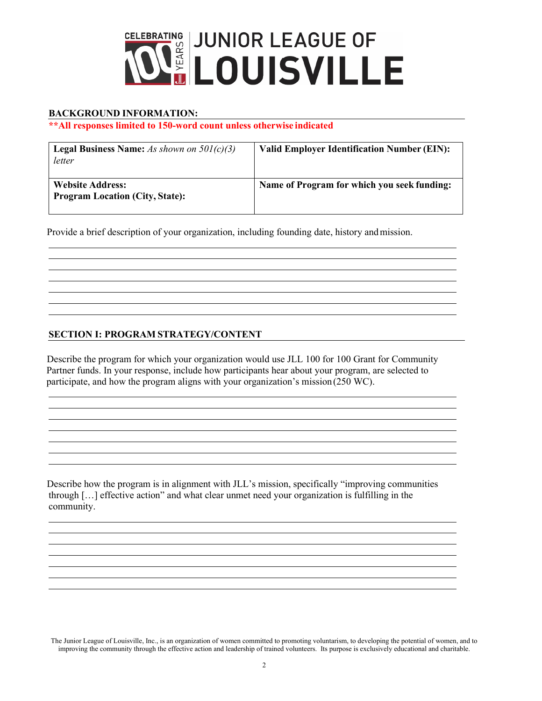

### **BACKGROUND INFORMATION:**

 $\overline{a}$ 

 $\overline{a}$  $\overline{a}$ 

 $\overline{a}$ 

  $\overline{a}$ 

 $\overline{a}$ 

#### **\*\*All responses limited to 150-word count unless otherwise indicated**

| <b>Legal Business Name:</b> As shown on $501(c)(3)$<br>letter     | <b>Valid Employer Identification Number (EIN):</b> |
|-------------------------------------------------------------------|----------------------------------------------------|
| <b>Website Address:</b><br><b>Program Location (City, State):</b> | Name of Program for which you seek funding:        |

Provide a brief description of your organization, including founding date, history and mission.

## **SECTION I: PROGRAM STRATEGY/CONTENT**

Describe the program for which your organization would use JLL 100 for 100 Grant for Community Partner funds. In your response, include how participants hear about your program, are selected to participate, and how the program aligns with your organization's mission (250 WC).

Describe how the program is in alignment with JLL's mission, specifically "improving communities through […] effective action" and what clear unmet need your organization is fulfilling in the community.

The Junior League of Louisville, Inc., is an organization of women committed to promoting voluntarism, to developing the potential of women, and to improving the community through the effective action and leadership of trained volunteers. Its purpose is exclusively educational and charitable.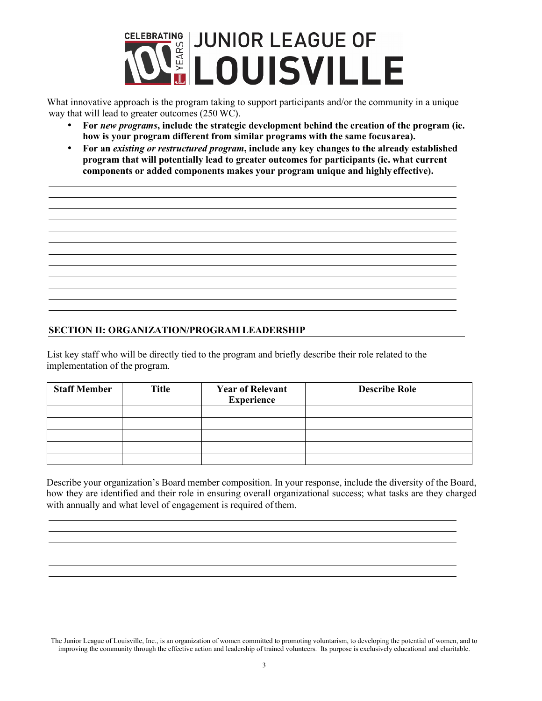

What innovative approach is the program taking to support participants and/or the community in a unique way that will lead to greater outcomes (250 WC).

- **For** *new programs***, include the strategic development behind the creation of the program (ie. how is your program different from similar programs with the same focus area).**
- **For an** *existing or restructured program***, include any key changes to the already established program that will potentially lead to greater outcomes for participants (ie. what current components or added components makes your program unique and highly effective).**

#### **SECTION II: ORGANIZATION/PROGRAM LEADERSHIP**

  $\overline{a}$ 

 $\overline{a}$ 

 

List key staff who will be directly tied to the program and briefly describe their role related to the implementation of the program.

| <b>Staff Member</b> | <b>Title</b> | <b>Year of Relevant</b><br><b>Experience</b> | <b>Describe Role</b> |
|---------------------|--------------|----------------------------------------------|----------------------|
|                     |              |                                              |                      |
|                     |              |                                              |                      |
|                     |              |                                              |                      |
|                     |              |                                              |                      |
|                     |              |                                              |                      |

Describe your organization's Board member composition. In your response, include the diversity of the Board, how they are identified and their role in ensuring overall organizational success; what tasks are they charged with annually and what level of engagement is required of them.

The Junior League of Louisville, Inc., is an organization of women committed to promoting voluntarism, to developing the potential of women, and to improving the community through the effective action and leadership of trained volunteers. Its purpose is exclusively educational and charitable.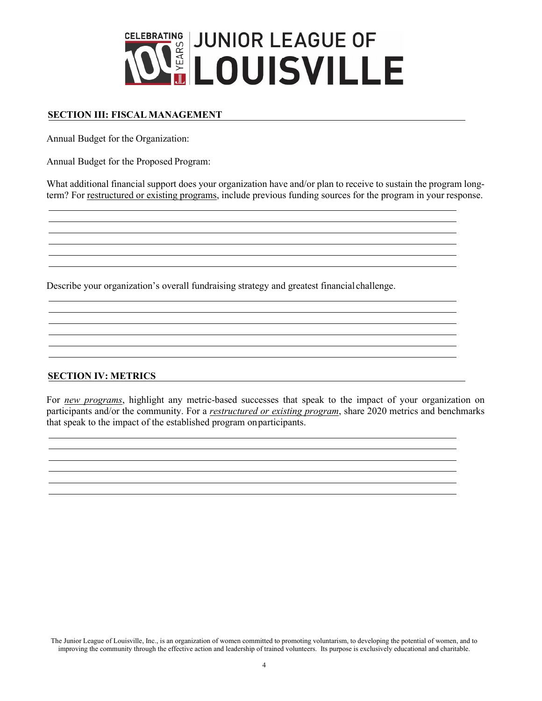

## **SECTION III: FISCAL MANAGEMENT**

Annual Budget for the Organization:

  $\overline{a}$ 

 $\overline{a}$ 

 $\overline{a}$ 

Annual Budget for the Proposed Program:

What additional financial support does your organization have and/or plan to receive to sustain the program longterm? For restructured or existing programs, include previous funding sources for the program in your response.

Describe your organization's overall fundraising strategy and greatest financial challenge.

#### **SECTION IV: METRICS**

For *new programs*, highlight any metric-based successes that speak to the impact of your organization on participants and/or the community. For a *restructured or existing program*, share 2020 metrics and benchmarks that speak to the impact of the established program on participants.

The Junior League of Louisville, Inc., is an organization of women committed to promoting voluntarism, to developing the potential of women, and to improving the community through the effective action and leadership of trained volunteers. Its purpose is exclusively educational and charitable.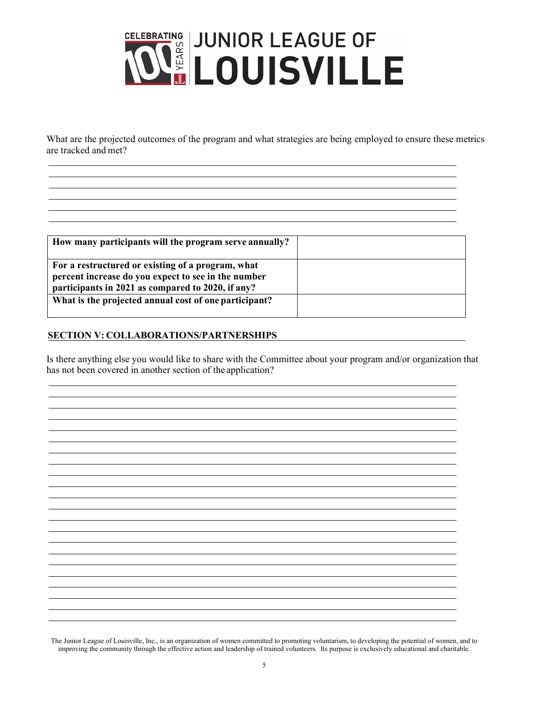

What are the projected outcomes of the program and what strategies are being employed to ensure these metrics are tracked and met?

| How many participants will the program serve annually?                                                                                                        |  |
|---------------------------------------------------------------------------------------------------------------------------------------------------------------|--|
| For a restructured or existing of a program, what<br>percent increase do you expect to see in the number<br>participants in 2021 as compared to 2020, if any? |  |
| What is the projected annual cost of one participant?                                                                                                         |  |

## **SECTION V: COLLABORATIONS/PARTNERSHIPS**

  $\overline{a}$ 

 $\overline{a}$ 

  $\overline{a}$ 

Is there anything else you would like to share with the Committee about your program and/or organization that has not been covered in another section of the application?

<u> 1989 - Johann Stoff, amerikansk politiker (d. 1989)</u>

The Junior League of Louisville, Inc., is an organization of women committed to promoting voluntarism, to developing the potential of women, and to improving the community through the effective action and leadership of trained volunteers. Its purpose is exclusively educational and charitable.